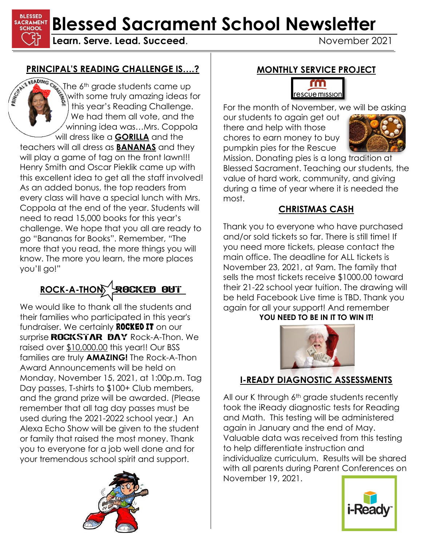**BLESSED SACRAMENT Blessed Sacrament School Newsletter** 

**Learn. Serve. Lead. Succeed.** November 2021

# **PRINCIPAL'S READING CHALLENGE IS….?**

The 6<sup>th</sup> grade students came up with some truly amazing ideas for this year's Reading Challenge. We had them all vote, and the winning idea was…Mrs. Coppola will dress like a **GORILLA** and the

teachers will all dress as **BANANAS** and they will play a game of tag on the front lawn!!! Henry Smith and Oscar Pieklik came up with this excellent idea to get all the staff involved! As an added bonus, the top readers from every class will have a special lunch with Mrs. Coppola at the end of the year. Students will need to read 15,000 books for this year's challenge. We hope that you all are ready to go "Bananas for Books". Remember, "The more that you read, the more things you will know. The more you learn, the more places you'll go!"

# ROCK-A-THON<sup>/</sup>**ROCKED OUT**

We would like to thank all the students and their families who participated in this year's fundraiser. We certainly **ROCKED IT** on our surprise **ROCKSTAR DAY** Rock-A-Thon. We raised over \$10,000.00 this year!! Our BSS families are truly **AMAZING!** The Rock-A-Thon Award Announcements will be held on Monday, November 15, 2021, at 1:00p.m. Tag Day passes, T-shirts to \$100+ Club members, and the grand prize will be awarded. (Please remember that all tag day passes must be used during the 2021-2022 school year.) An Alexa Echo Show will be given to the student or family that raised the most money. Thank you to everyone for a job well done and for your tremendous school spirit and support.



#### **MONTHLY SERVICE PROJECT**

#### rm rescue mission

For the month of November, we will be asking our students to again get out

there and help with those chores to earn money to buy pumpkin pies for the Rescue



Mission. Donating pies is a long tradition at Blessed Sacrament. Teaching our students, the value of hard work, community, and giving during a time of year where it is needed the most.

### **CHRISTMAS CASH**

Thank you to everyone who have purchased and/or sold tickets so far. There is still time! If you need more tickets, please contact the main office. The deadline for ALL tickets is November 23, 2021, at 9am. The family that sells the most tickets receive \$1000.00 toward their 21-22 school year tuition. The drawing will be held Facebook Live time is TBD. Thank you again for all your support! And remember YOU NEED TO BE IN IT TO WIN IT!



# **I-READY DIAGNOSTIC ASSESSMENTS**

All our K through 6<sup>th</sup> grade students recently took the iReady diagnostic tests for Reading and Math. This testing will be administered again in January and the end of May. Valuable data was received from this testing to help differentiate instruction and individualize curriculum. Results will be shared with all parents during Parent Conferences on November 19, 2021.